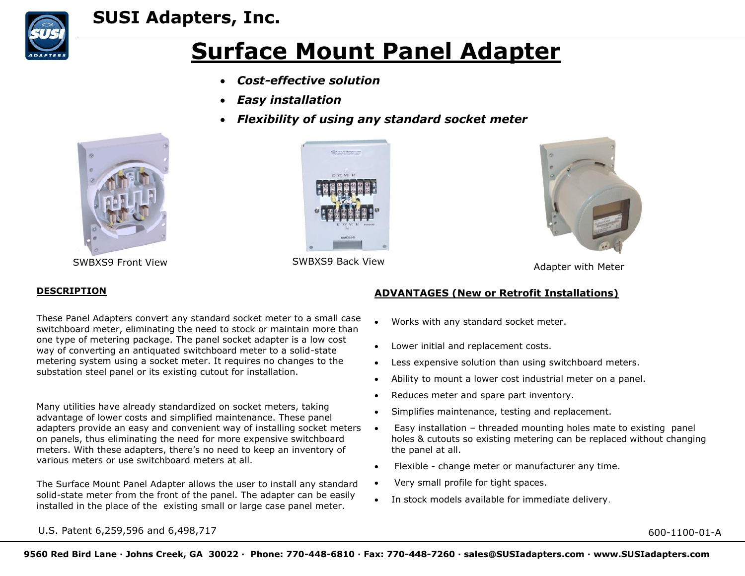

## **SUSI Adapters, Inc.**

# **Surface Mount Panel Adapter**

- *Cost-effective solution*
- *Easy installation*
- *Flexibility of using any standard socket meter*



SWBXS9 Front View **SWBXS9 Back View** SWBXS9 Back View **Adapter with Meter** 





#### **DESCRIPTION**

These Panel Adapters convert any standard socket meter to a small case switchboard meter, eliminating the need to stock or maintain more than one type of metering package. The panel socket adapter is a low cost way of converting an antiquated switchboard meter to a solid-state metering system using a socket meter. It requires no changes to the substation steel panel or its existing cutout for installation.

Many utilities have already standardized on socket meters, taking advantage of lower costs and simplified maintenance. These panel adapters provide an easy and convenient way of installing socket meters • on panels, thus eliminating the need for more expensive switchboard meters. With these adapters, there's no need to keep an inventory of various meters or use switchboard meters at all.

The Surface Mount Panel Adapter allows the user to install any standard solid-state meter from the front of the panel. The adapter can be easily installed in the place of the existing small or large case panel meter.

#### **ADVANTAGES (New or Retrofit Installations)**

- Works with any standard socket meter.
- Lower initial and replacement costs.
- Less expensive solution than using switchboard meters.
- Ability to mount a lower cost industrial meter on a panel.
- Reduces meter and spare part inventory.
- Simplifies maintenance, testing and replacement.
- Easy installation threaded mounting holes mate to existing panel holes & cutouts so existing metering can be replaced without changing the panel at all.
- Flexible change meter or manufacturer any time.
- Very small profile for tight spaces.
- In stock models available for immediate delivery.

U.S. Patent 6,259,596 and 6,498,717 600-1100-01-A